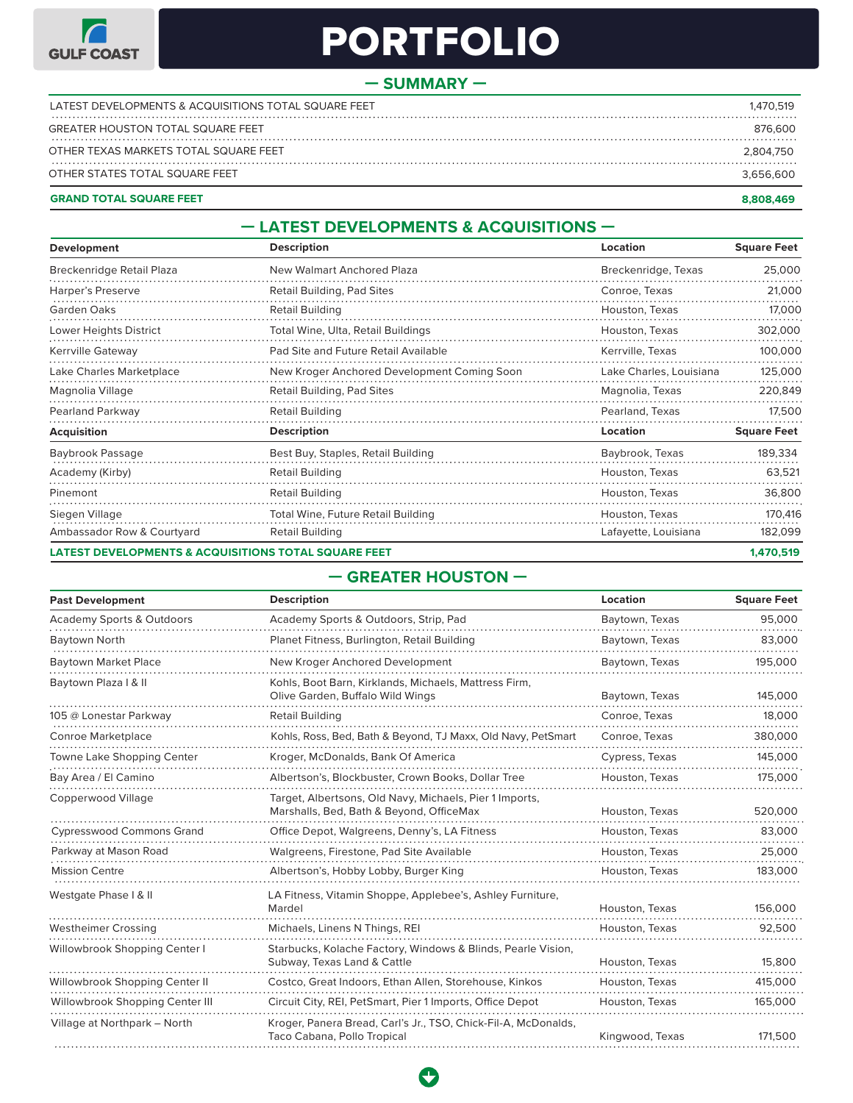

# PORTEOLIO

## **— SUMMARY —**

| OTHER STATES TOTAL SQUARE FEET                                                    | 3.656.600            |
|-----------------------------------------------------------------------------------|----------------------|
| <b>GREATER HOUSTON TOTAL SQUARE FEET</b><br>OTHER TEXAS MARKETS TOTAL SQUARE FEET | 876.600<br>2.804.750 |
|                                                                                   |                      |
| LATEST DEVELOPMENTS & ACQUISITIONS TOTAL SQUARE FEET                              | 1.470.519            |

#### **GRAND TOTAL SQUARE FEET** في المستخدم المستخدم المستخدم المستخدم المستخدم المستخدم المستخدم المستخدم المستخدم المستخدم المستخدم المستخدم المستخدم المستخدم المستخدم المستخدم المستخدم المستخدم المستخدم المستخدم المستخدم

## **— LATEST DEVELOPMENTS & ACQUISITIONS —**

| Development                                                     | <b>Description</b>                          | Location                | <b>Square Feet</b> |
|-----------------------------------------------------------------|---------------------------------------------|-------------------------|--------------------|
| Breckenridge Retail Plaza                                       | New Walmart Anchored Plaza                  | Breckenridge, Texas     | 25,000             |
| Harper's Preserve                                               | Retail Building, Pad Sites                  | Conroe, Texas           | 21,000             |
| Garden Oaks                                                     | <b>Retail Building</b>                      | Houston, Texas          | 17,000             |
| Lower Heights District                                          | Total Wine, Ulta, Retail Buildings          | Houston, Texas          | 302,000            |
| Kerrville Gateway                                               | Pad Site and Future Retail Available        | Kerrville, Texas        | 100,000            |
| Lake Charles Marketplace                                        | New Kroger Anchored Development Coming Soon | Lake Charles, Louisiana | 125,000            |
| Magnolia Village                                                | Retail Building, Pad Sites                  | Magnolia, Texas         | 220,849            |
| Pearland Parkway                                                | <b>Retail Building</b>                      | Pearland, Texas         | 17,500             |
| <b>Acquisition</b>                                              | <b>Description</b>                          | Location                | <b>Square Feet</b> |
| Baybrook Passage                                                | Best Buy, Staples, Retail Building          | Baybrook, Texas         | 189,334            |
| Academy (Kirby)                                                 | Retail Building                             | Houston, Texas          | 63,521             |
| Pinemont                                                        | <b>Retail Building</b>                      | Houston, Texas          | 36,800             |
| Siegen Village                                                  | Total Wine, Future Retail Building          | Houston, Texas          | 170,416            |
| Ambassador Row & Courtyard                                      | <b>Retail Building</b>                      | Lafayette, Louisiana    | 182,099            |
| <b>LATEST DEVELOPMENTS &amp; ACQUISITIONS TOTAL SQUARE FEET</b> |                                             |                         | 1,470,519          |

# **— GREATER HOUSTON —**

| <b>Past Development</b>              | <b>Description</b>                                                                                  | Location        | <b>Square Feet</b> |
|--------------------------------------|-----------------------------------------------------------------------------------------------------|-----------------|--------------------|
| <b>Academy Sports &amp; Outdoors</b> | Academy Sports & Outdoors, Strip, Pad                                                               | Baytown, Texas  | 95,000             |
| Baytown North                        | Planet Fitness, Burlington, Retail Building                                                         | Baytown, Texas  | 83,000             |
| <b>Baytown Market Place</b>          | New Kroger Anchored Development                                                                     | Baytown, Texas  | 195,000            |
| Baytown Plaza I & II                 | Kohls, Boot Barn, Kirklands, Michaels, Mattress Firm,<br>Olive Garden, Buffalo Wild Wings           | Baytown, Texas  | 145,000            |
| 105 @ Lonestar Parkway               | <b>Retail Building</b>                                                                              | Conroe, Texas   | 18,000             |
| Conroe Marketplace                   | Kohls, Ross, Bed, Bath & Beyond, TJ Maxx, Old Navy, PetSmart                                        | Conroe, Texas   | 380,000            |
| Towne Lake Shopping Center           | Kroger, McDonalds, Bank Of America                                                                  | Cypress, Texas  | 145,000            |
| Bay Area / El Camino                 | Albertson's, Blockbuster, Crown Books, Dollar Tree                                                  | Houston, Texas  | 175,000            |
| Copperwood Village                   | Target, Albertsons, Old Navy, Michaels, Pier 1 Imports,<br>Marshalls, Bed, Bath & Beyond, OfficeMax | Houston, Texas  | 520,000            |
| <b>Cypresswood Commons Grand</b>     | Office Depot, Walgreens, Denny's, LA Fitness                                                        | Houston, Texas  | 83,000             |
| Parkway at Mason Road                | Walgreens, Firestone, Pad Site Available                                                            | Houston, Texas  | 25,000             |
| <b>Mission Centre</b>                | Albertson's, Hobby Lobby, Burger King                                                               | Houston, Texas  | 183,000            |
| Westgate Phase I & II                | LA Fitness, Vitamin Shoppe, Applebee's, Ashley Furniture,<br>Mardel                                 | Houston, Texas  | 156,000            |
| <b>Westheimer Crossing</b>           | Michaels, Linens N Things, REI                                                                      | Houston, Texas  | 92,500             |
| Willowbrook Shopping Center I        | Starbucks, Kolache Factory, Windows & Blinds, Pearle Vision,<br>Subway, Texas Land & Cattle         | Houston, Texas  | 15,800             |
| Willowbrook Shopping Center II       | Costco, Great Indoors, Ethan Allen, Storehouse, Kinkos                                              | Houston, Texas  | 415,000            |
| Willowbrook Shopping Center III      | Circuit City, REI, PetSmart, Pier 1 Imports, Office Depot                                           | Houston, Texas  | 165,000            |
| Village at Northpark - North         | Kroger, Panera Bread, Carl's Jr., TSO, Chick-Fil-A, McDonalds,<br>Taco Cabana, Pollo Tropical       | Kingwood, Texas | 171,500            |